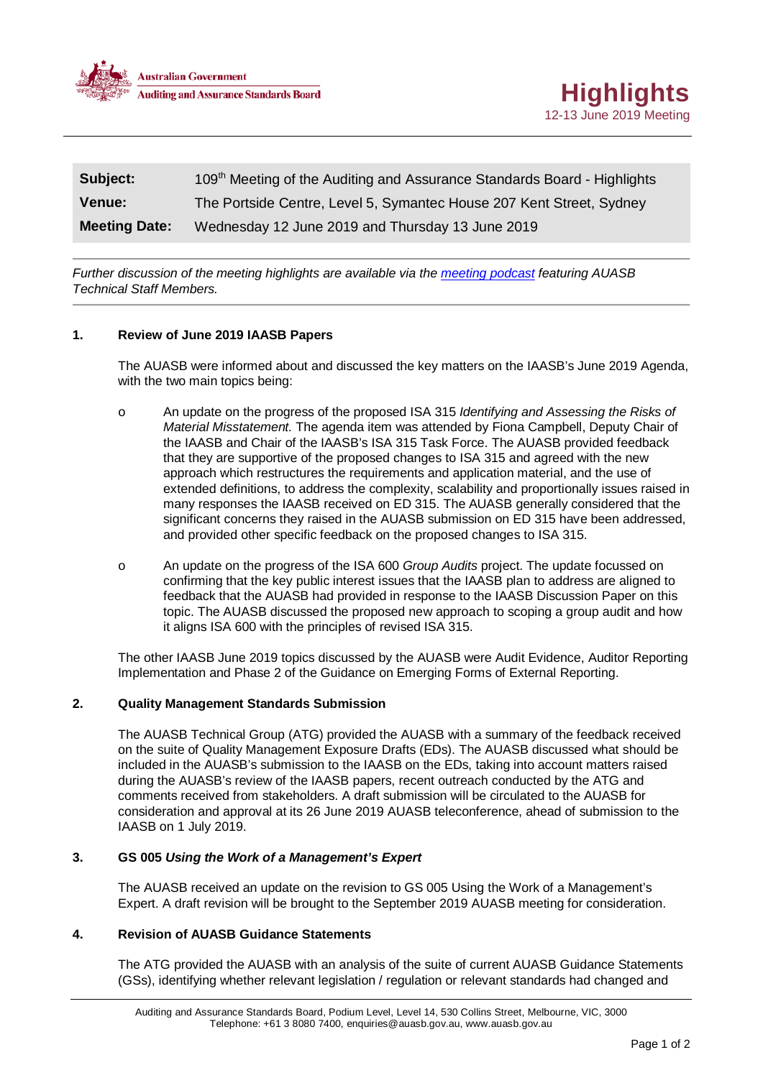

| Subject:             | 109 <sup>th</sup> Meeting of the Auditing and Assurance Standards Board - Highlights |
|----------------------|--------------------------------------------------------------------------------------|
| <b>Venue:</b>        | The Portside Centre, Level 5, Symantec House 207 Kent Street, Sydney                 |
| <b>Meeting Date:</b> | Wednesday 12 June 2019 and Thursday 13 June 2019                                     |

*Further discussion of the meeting highlights are available via the [meeting podcast](https://soundcloud.com/communications-manager/auasb-june-2019-meeting-podcast) featuring AUASB Technical Staff Members.*

## **1. Review of June 2019 IAASB Papers**

The AUASB were informed about and discussed the key matters on the IAASB's June 2019 Agenda, with the two main topics being:

- o An update on the progress of the proposed ISA 315 *Identifying and Assessing the Risks of Material Misstatement.* The agenda item was attended by Fiona Campbell, Deputy Chair of the IAASB and Chair of the IAASB's ISA 315 Task Force. The AUASB provided feedback that they are supportive of the proposed changes to ISA 315 and agreed with the new approach which restructures the requirements and application material, and the use of extended definitions, to address the complexity, scalability and proportionally issues raised in many responses the IAASB received on ED 315. The AUASB generally considered that the significant concerns they raised in the AUASB submission on ED 315 have been addressed, and provided other specific feedback on the proposed changes to ISA 315.
- o An update on the progress of the ISA 600 *Group Audits* project. The update focussed on confirming that the key public interest issues that the IAASB plan to address are aligned to feedback that the AUASB had provided in response to the IAASB Discussion Paper on this topic. The AUASB discussed the proposed new approach to scoping a group audit and how it aligns ISA 600 with the principles of revised ISA 315.

The other IAASB June 2019 topics discussed by the AUASB were Audit Evidence, Auditor Reporting Implementation and Phase 2 of the Guidance on Emerging Forms of External Reporting.

### **2. Quality Management Standards Submission**

The AUASB Technical Group (ATG) provided the AUASB with a summary of the feedback received on the suite of Quality Management Exposure Drafts (EDs). The AUASB discussed what should be included in the AUASB's submission to the IAASB on the EDs, taking into account matters raised during the AUASB's review of the IAASB papers, recent outreach conducted by the ATG and comments received from stakeholders. A draft submission will be circulated to the AUASB for consideration and approval at its 26 June 2019 AUASB teleconference, ahead of submission to the IAASB on 1 July 2019.

## **3. GS 005** *Using the Work of a Management's Expert*

The AUASB received an update on the revision to GS 005 Using the Work of a Management's Expert. A draft revision will be brought to the September 2019 AUASB meeting for consideration.

### **4. Revision of AUASB Guidance Statements**

The ATG provided the AUASB with an analysis of the suite of current AUASB Guidance Statements (GSs), identifying whether relevant legislation / regulation or relevant standards had changed and